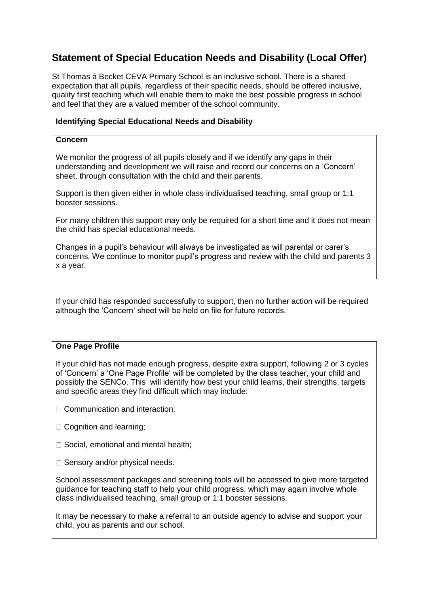# **Statement of Special Education Needs and Disability (Local Offer)**

St Thomas à Becket CEVA Primary School is an inclusive school. There is a shared expectation that all pupils, regardless of their specific needs, should be offered inclusive, quality first teaching which will enable them to make the best possible progress in school and feel that they are a valued member of the school community.

## **Identifying Special Educational Needs and Disability**

## **Concern**

We monitor the progress of all pupils closely and if we identify any gaps in their understanding and development we will raise and record our concerns on a 'Concern' sheet, through consultation with the child and their parents.

Support is then given either in whole class individualised teaching, small group or 1:1 booster sessions.

For many children this support may only be required for a short time and it does not mean the child has special educational needs.

Changes in a pupil's behaviour will always be investigated as will parental or carer's concerns. We continue to monitor pupil's progress and review with the child and parents 3 x a year.

If your child has responded successfully to support, then no further action will be required although the 'Concern' sheet will be held on file for future records.

## **One Page Profile**

If your child has not made enough progress, despite extra support, following 2 or 3 cycles of 'Concern' a 'One Page Profile' will be completed by the class teacher, your child and possibly the SENCo. This will identify how best your child learns, their strengths, targets and specific areas they find difficult which may include:

- □ Communication and interaction;
- □ Cognition and learning;
- □ Social, emotional and mental health;
- $\square$  Sensory and/or physical needs.

School assessment packages and screening tools will be accessed to give more targeted guidance for teaching staff to help your child progress, which may again involve whole class individualised teaching, small group or 1:1 booster sessions.

It may be necessary to make a referral to an outside agency to advise and support your child, you as parents and our school.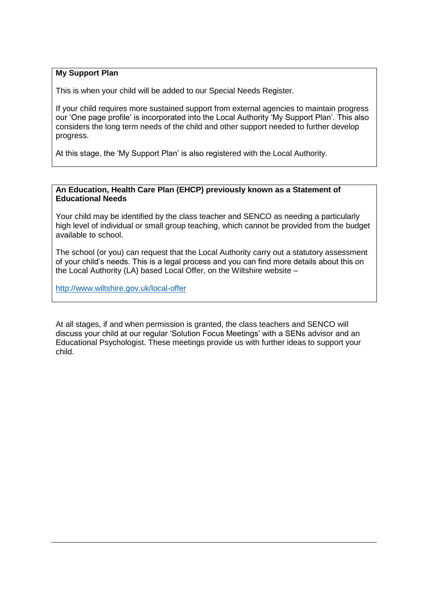## **My Support Plan**

This is when your child will be added to our Special Needs Register.

If your child requires more sustained support from external agencies to maintain progress our 'One page profile' is incorporated into the Local Authority 'My Support Plan'. This also considers the long term needs of the child and other support needed to further develop progress.

At this stage, the 'My Support Plan' is also registered with the Local Authority.

#### **An Education, Health Care Plan (EHCP) previously known as a Statement of Educational Needs**

Your child may be identified by the class teacher and SENCO as needing a particularly high level of individual or small group teaching, which cannot be provided from the budget available to school.

The school (or you) can request that the Local Authority carry out a statutory assessment of your child's needs. This is a legal process and you can find more details about this on the Local Authority (LA) based Local Offer, on the Wiltshire website –

<http://www.wiltshire.gov.uk/local-offer>

At all stages, if and when permission is granted, the class teachers and SENCO will discuss your child at our regular 'Solution Focus Meetings' with a SENs advisor and an Educational Psychologist. These meetings provide us with further ideas to support your child.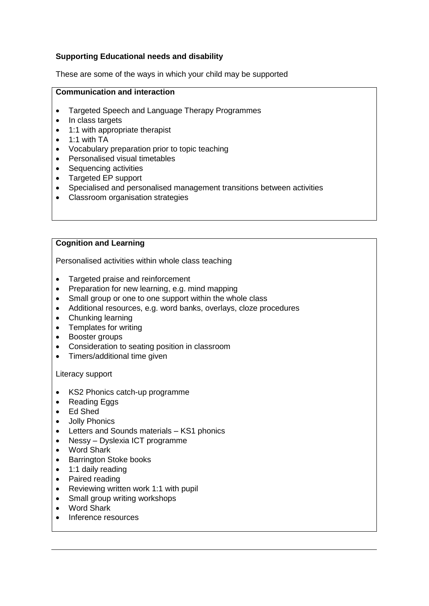## **Supporting Educational needs and disability**

These are some of the ways in which your child may be supported

#### **Communication and interaction**

- Targeted Speech and Language Therapy Programmes
- In class targets
- 1:1 with appropriate therapist
- $\bullet$  1:1 with TA
- Vocabulary preparation prior to topic teaching
- Personalised visual timetables
- Sequencing activities
- Targeted EP support
- Specialised and personalised management transitions between activities
- Classroom organisation strategies

## **Cognition and Learning**

Personalised activities within whole class teaching

- Targeted praise and reinforcement
- Preparation for new learning, e.g. mind mapping
- Small group or one to one support within the whole class
- Additional resources, e.g. word banks, overlays, cloze procedures
- Chunking learning
- Templates for writing
- Booster groups
- Consideration to seating position in classroom
- Timers/additional time given

Literacy support

- KS2 Phonics catch-up programme
- Reading Eggs
- Ed Shed
- Jolly Phonics
- Letters and Sounds materials KS1 phonics
- Nessy Dyslexia ICT programme
- Word Shark
- Barrington Stoke books
- 1:1 daily reading
- Paired reading
- Reviewing written work 1:1 with pupil
- Small group writing workshops
- Word Shark
- Inference resources